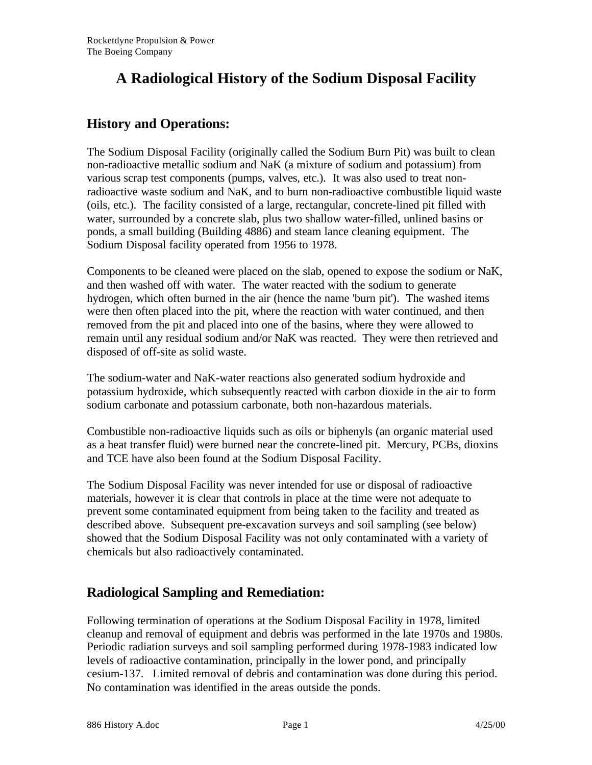# **A Radiological History of the Sodium Disposal Facility**

### **History and Operations:**

The Sodium Disposal Facility (originally called the Sodium Burn Pit) was built to clean non-radioactive metallic sodium and NaK (a mixture of sodium and potassium) from various scrap test components (pumps, valves, etc.). It was also used to treat nonradioactive waste sodium and NaK, and to burn non-radioactive combustible liquid waste (oils, etc.). The facility consisted of a large, rectangular, concrete-lined pit filled with water, surrounded by a concrete slab, plus two shallow water-filled, unlined basins or ponds, a small building (Building 4886) and steam lance cleaning equipment. The Sodium Disposal facility operated from 1956 to 1978.

Components to be cleaned were placed on the slab, opened to expose the sodium or NaK, and then washed off with water. The water reacted with the sodium to generate hydrogen, which often burned in the air (hence the name 'burn pit'). The washed items were then often placed into the pit, where the reaction with water continued, and then removed from the pit and placed into one of the basins, where they were allowed to remain until any residual sodium and/or NaK was reacted. They were then retrieved and disposed of off-site as solid waste.

The sodium-water and NaK-water reactions also generated sodium hydroxide and potassium hydroxide, which subsequently reacted with carbon dioxide in the air to form sodium carbonate and potassium carbonate, both non-hazardous materials.

Combustible non-radioactive liquids such as oils or biphenyls (an organic material used as a heat transfer fluid) were burned near the concrete-lined pit. Mercury, PCBs, dioxins and TCE have also been found at the Sodium Disposal Facility.

The Sodium Disposal Facility was never intended for use or disposal of radioactive materials, however it is clear that controls in place at the time were not adequate to prevent some contaminated equipment from being taken to the facility and treated as described above. Subsequent pre-excavation surveys and soil sampling (see below) showed that the Sodium Disposal Facility was not only contaminated with a variety of chemicals but also radioactively contaminated.

### **Radiological Sampling and Remediation:**

Following termination of operations at the Sodium Disposal Facility in 1978, limited cleanup and removal of equipment and debris was performed in the late 1970s and 1980s. Periodic radiation surveys and soil sampling performed during 1978-1983 indicated low levels of radioactive contamination, principally in the lower pond, and principally cesium-137. Limited removal of debris and contamination was done during this period. No contamination was identified in the areas outside the ponds.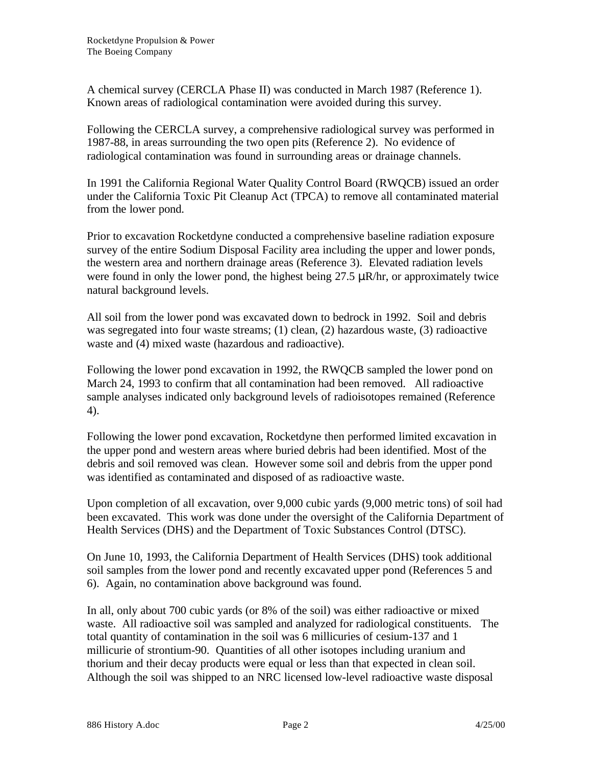A chemical survey (CERCLA Phase II) was conducted in March 1987 (Reference 1). Known areas of radiological contamination were avoided during this survey.

Following the CERCLA survey, a comprehensive radiological survey was performed in 1987-88, in areas surrounding the two open pits (Reference 2). No evidence of radiological contamination was found in surrounding areas or drainage channels.

In 1991 the California Regional Water Quality Control Board (RWQCB) issued an order under the California Toxic Pit Cleanup Act (TPCA) to remove all contaminated material from the lower pond.

Prior to excavation Rocketdyne conducted a comprehensive baseline radiation exposure survey of the entire Sodium Disposal Facility area including the upper and lower ponds, the western area and northern drainage areas (Reference 3). Elevated radiation levels were found in only the lower pond, the highest being 27.5 μR/hr, or approximately twice natural background levels.

All soil from the lower pond was excavated down to bedrock in 1992. Soil and debris was segregated into four waste streams; (1) clean, (2) hazardous waste, (3) radioactive waste and (4) mixed waste (hazardous and radioactive).

Following the lower pond excavation in 1992, the RWQCB sampled the lower pond on March 24, 1993 to confirm that all contamination had been removed. All radioactive sample analyses indicated only background levels of radioisotopes remained (Reference 4).

Following the lower pond excavation, Rocketdyne then performed limited excavation in the upper pond and western areas where buried debris had been identified. Most of the debris and soil removed was clean. However some soil and debris from the upper pond was identified as contaminated and disposed of as radioactive waste.

Upon completion of all excavation, over 9,000 cubic yards (9,000 metric tons) of soil had been excavated. This work was done under the oversight of the California Department of Health Services (DHS) and the Department of Toxic Substances Control (DTSC).

On June 10, 1993, the California Department of Health Services (DHS) took additional soil samples from the lower pond and recently excavated upper pond (References 5 and 6). Again, no contamination above background was found.

In all, only about 700 cubic yards (or 8% of the soil) was either radioactive or mixed waste. All radioactive soil was sampled and analyzed for radiological constituents. The total quantity of contamination in the soil was 6 millicuries of cesium-137 and 1 millicurie of strontium-90. Quantities of all other isotopes including uranium and thorium and their decay products were equal or less than that expected in clean soil. Although the soil was shipped to an NRC licensed low-level radioactive waste disposal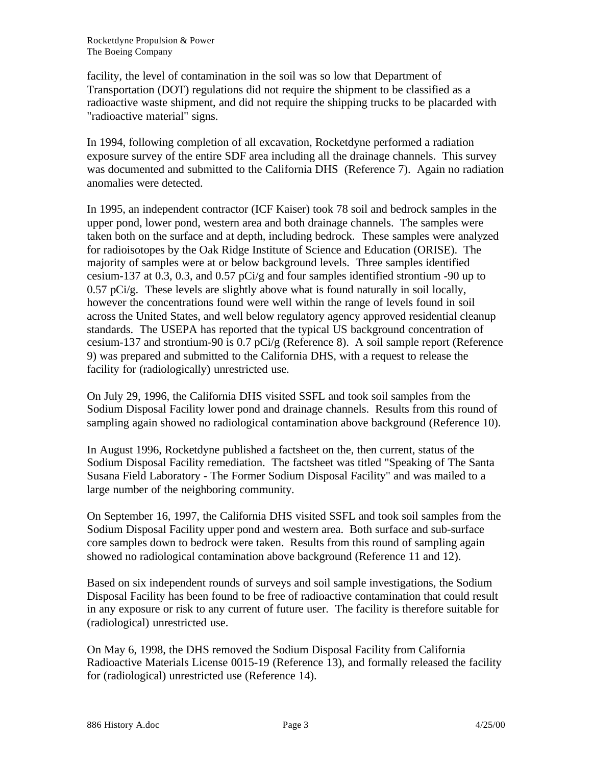facility, the level of contamination in the soil was so low that Department of Transportation (DOT) regulations did not require the shipment to be classified as a radioactive waste shipment, and did not require the shipping trucks to be placarded with "radioactive material" signs.

In 1994, following completion of all excavation, Rocketdyne performed a radiation exposure survey of the entire SDF area including all the drainage channels. This survey was documented and submitted to the California DHS (Reference 7). Again no radiation anomalies were detected.

In 1995, an independent contractor (ICF Kaiser) took 78 soil and bedrock samples in the upper pond, lower pond, western area and both drainage channels. The samples were taken both on the surface and at depth, including bedrock. These samples were analyzed for radioisotopes by the Oak Ridge Institute of Science and Education (ORISE). The majority of samples were at or below background levels. Three samples identified cesium-137 at 0.3, 0.3, and 0.57 pCi/g and four samples identified strontium -90 up to  $0.57$  pCi/g. These levels are slightly above what is found naturally in soil locally, however the concentrations found were well within the range of levels found in soil across the United States, and well below regulatory agency approved residential cleanup standards. The USEPA has reported that the typical US background concentration of cesium-137 and strontium-90 is 0.7 pCi/g (Reference 8). A soil sample report (Reference 9) was prepared and submitted to the California DHS, with a request to release the facility for (radiologically) unrestricted use.

On July 29, 1996, the California DHS visited SSFL and took soil samples from the Sodium Disposal Facility lower pond and drainage channels. Results from this round of sampling again showed no radiological contamination above background (Reference 10).

In August 1996, Rocketdyne published a factsheet on the, then current, status of the Sodium Disposal Facility remediation. The factsheet was titled "Speaking of The Santa Susana Field Laboratory - The Former Sodium Disposal Facility" and was mailed to a large number of the neighboring community.

On September 16, 1997, the California DHS visited SSFL and took soil samples from the Sodium Disposal Facility upper pond and western area. Both surface and sub-surface core samples down to bedrock were taken. Results from this round of sampling again showed no radiological contamination above background (Reference 11 and 12).

Based on six independent rounds of surveys and soil sample investigations, the Sodium Disposal Facility has been found to be free of radioactive contamination that could result in any exposure or risk to any current of future user. The facility is therefore suitable for (radiological) unrestricted use.

On May 6, 1998, the DHS removed the Sodium Disposal Facility from California Radioactive Materials License 0015-19 (Reference 13), and formally released the facility for (radiological) unrestricted use (Reference 14).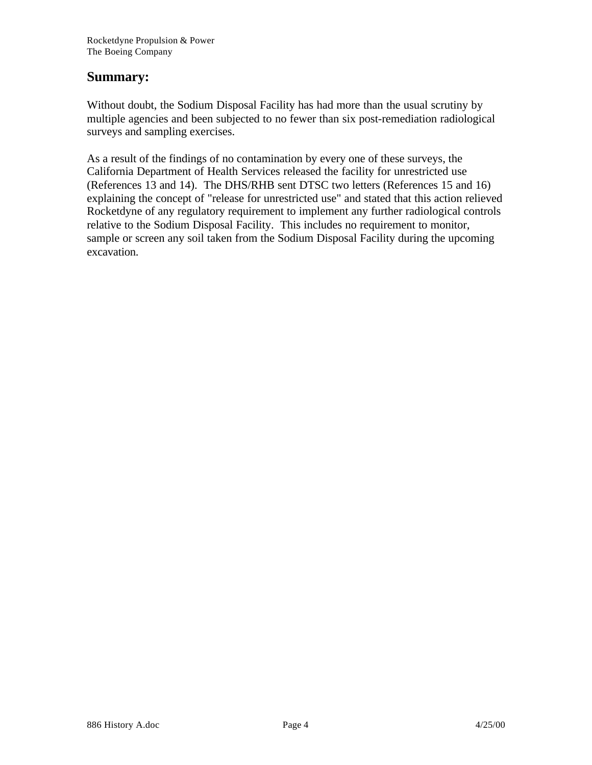#### **Summary:**

Without doubt, the Sodium Disposal Facility has had more than the usual scrutiny by multiple agencies and been subjected to no fewer than six post-remediation radiological surveys and sampling exercises.

As a result of the findings of no contamination by every one of these surveys, the California Department of Health Services released the facility for unrestricted use (References 13 and 14). The DHS/RHB sent DTSC two letters (References 15 and 16) explaining the concept of "release for unrestricted use" and stated that this action relieved Rocketdyne of any regulatory requirement to implement any further radiological controls relative to the Sodium Disposal Facility. This includes no requirement to monitor, sample or screen any soil taken from the Sodium Disposal Facility during the upcoming excavation.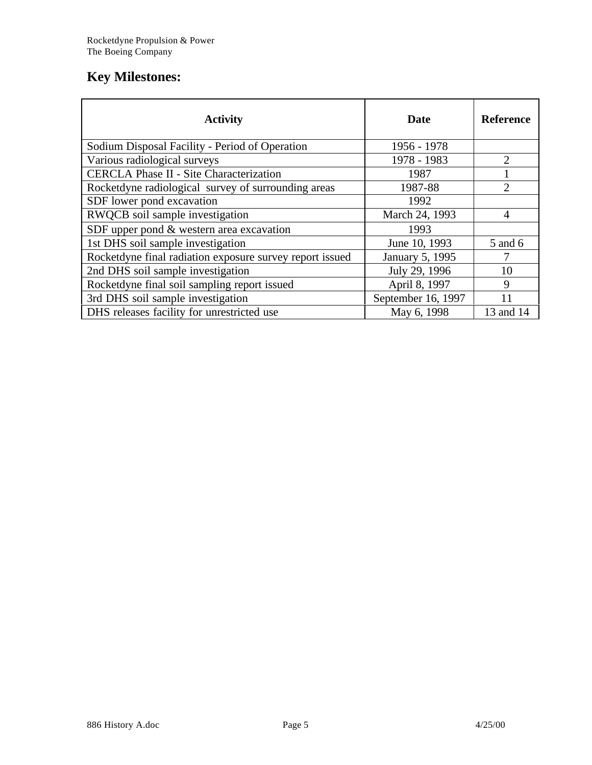## **Key Milestones:**

| <b>Activity</b>                                          | <b>Date</b>        | <b>Reference</b> |
|----------------------------------------------------------|--------------------|------------------|
| Sodium Disposal Facility - Period of Operation           | 1956 - 1978        |                  |
| Various radiological surveys                             | 1978 - 1983        | 2                |
| <b>CERCLA Phase II - Site Characterization</b>           | 1987               |                  |
| Rocketdyne radiological survey of surrounding areas      | 1987-88            | 2                |
| SDF lower pond excavation                                | 1992               |                  |
| RWQCB soil sample investigation                          | March 24, 1993     | 4                |
| SDF upper pond & western area excavation                 | 1993               |                  |
| 1st DHS soil sample investigation                        | June 10, 1993      | 5 and 6          |
| Rocketdyne final radiation exposure survey report issued | January 5, 1995    |                  |
| 2nd DHS soil sample investigation                        | July 29, 1996      | 10               |
| Rocketdyne final soil sampling report issued             | April 8, 1997      | 9                |
| 3rd DHS soil sample investigation                        | September 16, 1997 | 11               |
| DHS releases facility for unrestricted use               | May 6, 1998        | 13 and 14        |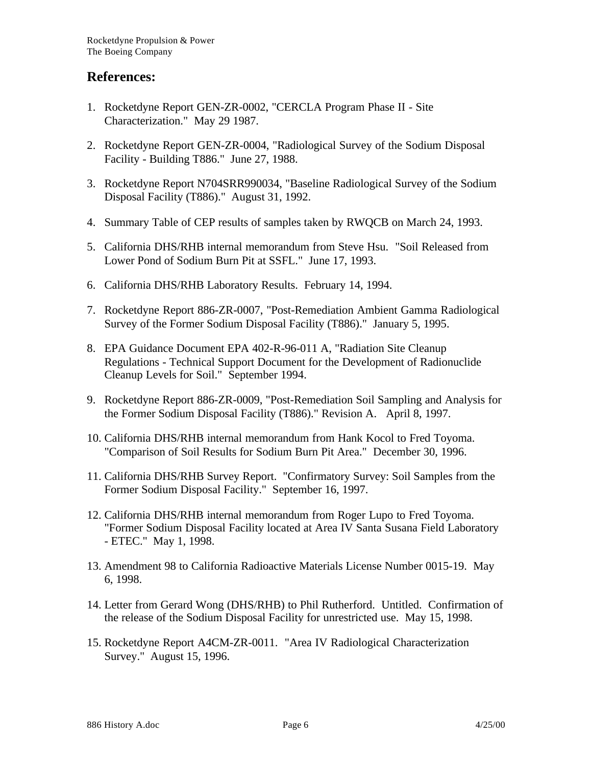#### **References:**

- 1. Rocketdyne Report GEN-ZR-0002, "CERCLA Program Phase II Site Characterization." May 29 1987.
- 2. Rocketdyne Report GEN-ZR-0004, "Radiological Survey of the Sodium Disposal Facility - Building T886." June 27, 1988.
- 3. Rocketdyne Report N704SRR990034, "Baseline Radiological Survey of the Sodium Disposal Facility (T886)." August 31, 1992.
- 4. Summary Table of CEP results of samples taken by RWQCB on March 24, 1993.
- 5. California DHS/RHB internal memorandum from Steve Hsu. "Soil Released from Lower Pond of Sodium Burn Pit at SSFL." June 17, 1993.
- 6. California DHS/RHB Laboratory Results. February 14, 1994.
- 7. Rocketdyne Report 886-ZR-0007, "Post-Remediation Ambient Gamma Radiological Survey of the Former Sodium Disposal Facility (T886)." January 5, 1995.
- 8. EPA Guidance Document EPA 402-R-96-011 A, "Radiation Site Cleanup Regulations - Technical Support Document for the Development of Radionuclide Cleanup Levels for Soil." September 1994.
- 9. Rocketdyne Report 886-ZR-0009, "Post-Remediation Soil Sampling and Analysis for the Former Sodium Disposal Facility (T886)." Revision A. April 8, 1997.
- 10. California DHS/RHB internal memorandum from Hank Kocol to Fred Toyoma. "Comparison of Soil Results for Sodium Burn Pit Area." December 30, 1996.
- 11. California DHS/RHB Survey Report. "Confirmatory Survey: Soil Samples from the Former Sodium Disposal Facility." September 16, 1997.
- 12. California DHS/RHB internal memorandum from Roger Lupo to Fred Toyoma. "Former Sodium Disposal Facility located at Area IV Santa Susana Field Laboratory - ETEC." May 1, 1998.
- 13. Amendment 98 to California Radioactive Materials License Number 0015-19. May 6, 1998.
- 14. Letter from Gerard Wong (DHS/RHB) to Phil Rutherford. Untitled. Confirmation of the release of the Sodium Disposal Facility for unrestricted use. May 15, 1998.
- 15. Rocketdyne Report A4CM-ZR-0011. "Area IV Radiological Characterization Survey." August 15, 1996.